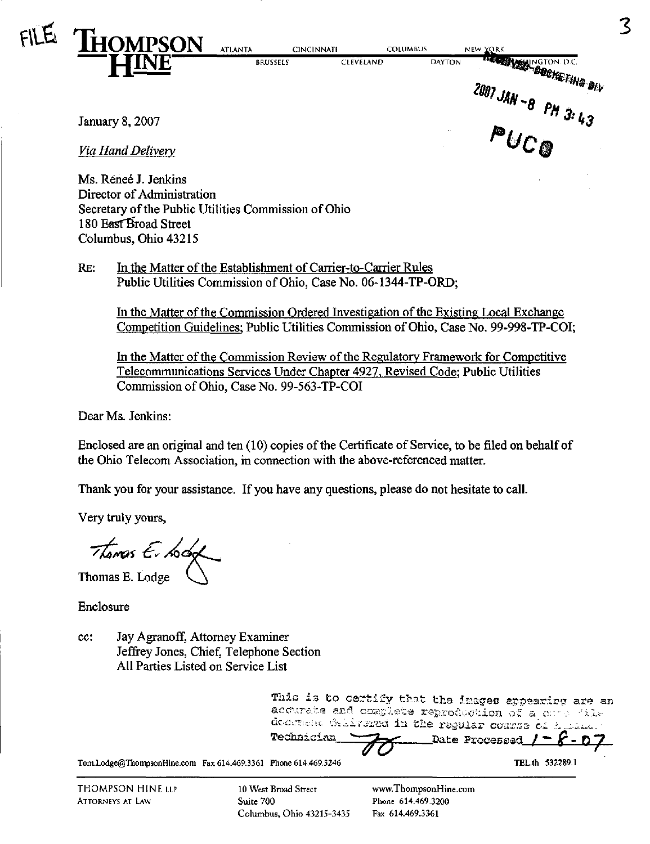

**CINCINNATE COLUMBUS BRUSSELS** 

ORK NEW NGTON DC.

NEW YORK

**CLEVELAND DAYTON** 

January 8, 2007

Via Hand Delivery

Ms. Renee J. Jenkins Director of Administration Secretary of the Public Utilities Commission of Ohio 180 East Broad Street Columbus, Ohio 43215

 $RE:$ In the Matter of the Establishment of Carrier-to-Carrier Rules Public Utilities Commission of Ohio, Case No. 06-1344-TP-ORD;

In the Matter of the Commission Ordered Investigation of the Existing Local Exchange Competition Guidelines; Public Utilities Commission of Ohio, Case No. 99-998-TP-COI;

In the Matter of the Commission Review of the Regulatory Framework for Competitive Telecommunications Services Under Chapter 4927, Revised Code; Public Utilities Commission of Ohio, Case No. 99-563-TP-COI

Dear Ms. Jenkins:

Enclosed are an original and ten (10) copies of the Certificate of Service, to be filed on behalf of the Ohio Telecom Association, in connection with the above-referenced matter.

Thank you for your assistance. If you have any questions, please do not hesitate to call.

Very truly yours,

Thomas E. Lodg

Thomas E. Lodge

Enclosure

Jay Agranoff, Attorney Examiner cc: Jeffrey Jones, Chief, Telephone Section All Parties Listed on Service List

> This is to certify that the images appearing are an acourate and complete reproduction of a computile docoment felivered in the regular course of a Technician Date Processed

Tom.Lodge@ThompsonHine.com Fax 614.469.3361 Phone 614.469.3246

**THOMPSON HINE LLP ATTORNEYS AT LAW** 

10 West Broad Street Suite 700 Columbus, Ohio 43215-3435

www.ThompsonHine.com Phone 614.469.3200 Fax 614.469.3361

TEL.th 532289.1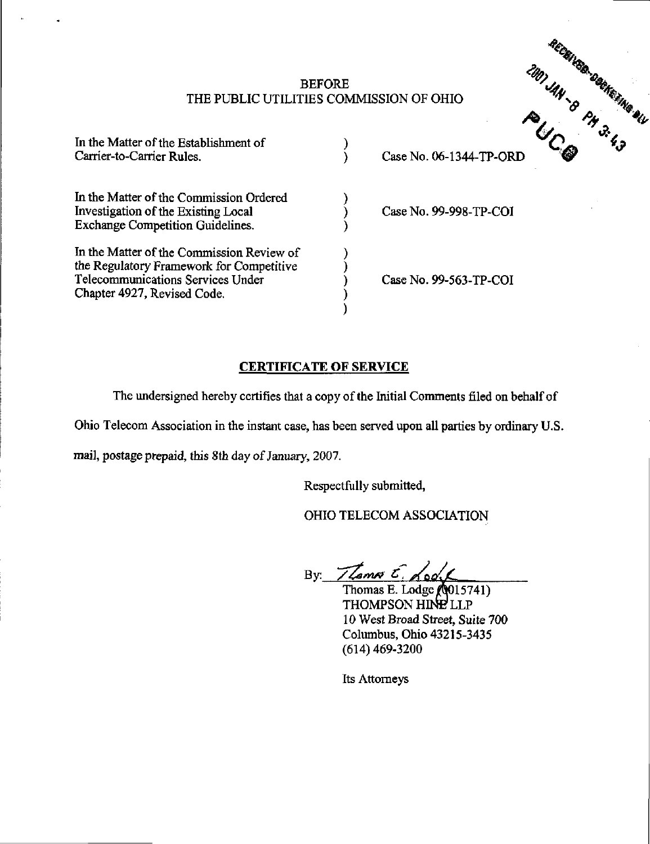## $B$  before the state  $\mathscr{A}_{\mathscr{A}_{\mathbb{A}}}$  . The state  $\mathscr{A}_{\mathscr{A}_{\mathbb{A}}}$  is the state of  $\mathscr{A}_{\mathscr{A}_{\mathbb{A}}}$  . The state of  $\mathscr{A}_{\mathscr{A}_{\mathbb{A}}}$ THE PUBLIC UTILITIES COMMISSION OF OHIO

| In the Matter of the Establishment of<br>Carrier-to-Carrier Rules.                                                                                        | Case No. 06-1344-TP-ORD | œ |
|-----------------------------------------------------------------------------------------------------------------------------------------------------------|-------------------------|---|
| In the Matter of the Commission Ordered<br>Investigation of the Existing Local<br><b>Exchange Competition Guidelines.</b>                                 | Case No. 99-998-TP-COI  |   |
| In the Matter of the Commission Review of<br>the Regulatory Framework for Competitive<br>Telecommunications Services Under<br>Chapter 4927, Revised Code. | Case No. 99-563-TP-COI  |   |

## CERTIFICATE OF SERVICE

The undersigned hereby certifies that a copy of the Initial Comments filed on behalf of

Ohio Telecom Association in the instant case, has been served upon all parties by ordinary U.S.

mail, postage prepaid, this 8th day of January, 2007.

Respectfully submitted,

OHIO TELECOM ASSOCIATION

By:  $7\sqrt{2}mv$   $6\sqrt{20}$ 

Thomas E. Lodge (Q015741) THOMPSON HINE LLP 10 West Broad Street, Suite 700 Columbus, Ohio 43215-3435 (614)469-3200

Its Attorneys